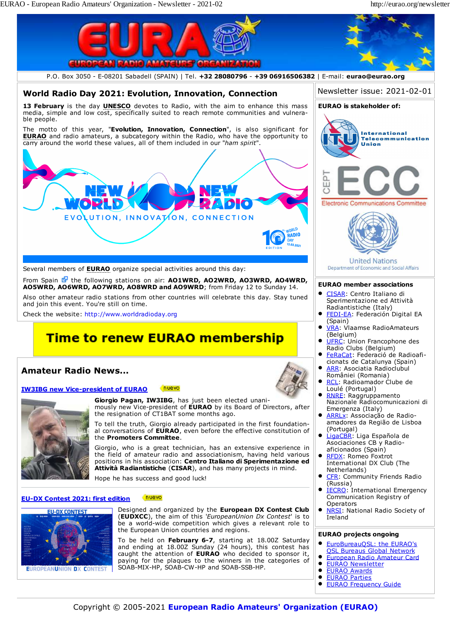

Copyright © 2005-2021 **European Radio Amateurs' Organization (EURAO)**